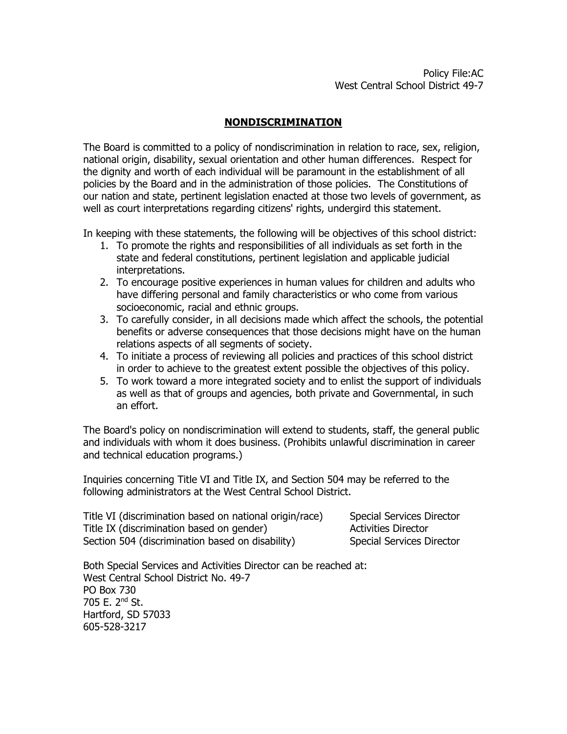## **NONDISCRIMINATION**

The Board is committed to a policy of nondiscrimination in relation to race, sex, religion, national origin, disability, sexual orientation and other human differences. Respect for the dignity and worth of each individual will be paramount in the establishment of all policies by the Board and in the administration of those policies. The Constitutions of our nation and state, pertinent legislation enacted at those two levels of government, as well as court interpretations regarding citizens' rights, undergird this statement.

In keeping with these statements, the following will be objectives of this school district:

- 1. To promote the rights and responsibilities of all individuals as set forth in the state and federal constitutions, pertinent legislation and applicable judicial interpretations.
- 2. To encourage positive experiences in human values for children and adults who have differing personal and family characteristics or who come from various socioeconomic, racial and ethnic groups.
- 3. To carefully consider, in all decisions made which affect the schools, the potential benefits or adverse consequences that those decisions might have on the human relations aspects of all segments of society.
- 4. To initiate a process of reviewing all policies and practices of this school district in order to achieve to the greatest extent possible the objectives of this policy.
- 5. To work toward a more integrated society and to enlist the support of individuals as well as that of groups and agencies, both private and Governmental, in such an effort.

The Board's policy on nondiscrimination will extend to students, staff, the general public and individuals with whom it does business. (Prohibits unlawful discrimination in career and technical education programs.)

Inquiries concerning Title VI and Title IX, and Section 504 may be referred to the following administrators at the West Central School District.

Title VI (discrimination based on national origin/race) Special Services Director Title IX (discrimination based on gender) Activities Director Section 504 (discrimination based on disability) Special Services Director

Both Special Services and Activities Director can be reached at: West Central School District No. 49-7 PO Box 730 705 E. 2nd St. Hartford, SD 57033 605-528-3217